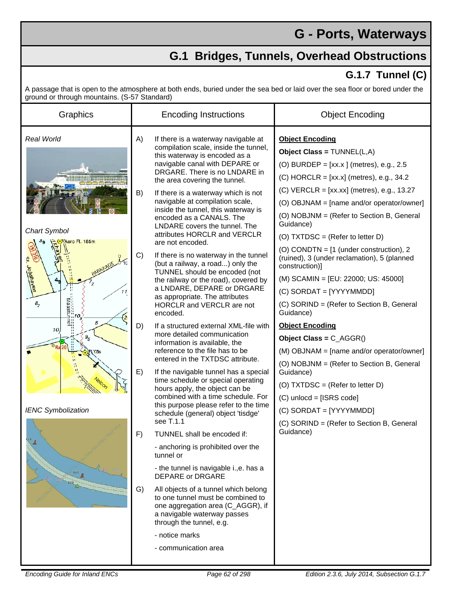## **G - Ports, Waterways**

## **G.1 Bridges, Tunnels, Overhead Obstructions**

## **G.1.7 Tunnel (C)**

A passage that is open to the atmosphere at both ends, buried under the sea bed or laid over the sea floor or bored under the ground or through mountains. (S-57 Standard)

| ground or unough mountains. (O or olandary,<br>Graphics                                                                                                                           | <b>Encoding Instructions</b>                                                                                                                                                                                                                                                                                                                                                                                                                                                                                                                                                                                                                                                                                                                                                                                                                                                                                                                                                                                                                                                                                                                                                                                                                                                                                                                                                                                                                                                                                                                           | <b>Object Encoding</b>                                                                                                                                                                                                                                                                                                                                                                                                                                                                                                                                                                                                                                                                                                                                                                                                                                                                                                   |
|-----------------------------------------------------------------------------------------------------------------------------------------------------------------------------------|--------------------------------------------------------------------------------------------------------------------------------------------------------------------------------------------------------------------------------------------------------------------------------------------------------------------------------------------------------------------------------------------------------------------------------------------------------------------------------------------------------------------------------------------------------------------------------------------------------------------------------------------------------------------------------------------------------------------------------------------------------------------------------------------------------------------------------------------------------------------------------------------------------------------------------------------------------------------------------------------------------------------------------------------------------------------------------------------------------------------------------------------------------------------------------------------------------------------------------------------------------------------------------------------------------------------------------------------------------------------------------------------------------------------------------------------------------------------------------------------------------------------------------------------------------|--------------------------------------------------------------------------------------------------------------------------------------------------------------------------------------------------------------------------------------------------------------------------------------------------------------------------------------------------------------------------------------------------------------------------------------------------------------------------------------------------------------------------------------------------------------------------------------------------------------------------------------------------------------------------------------------------------------------------------------------------------------------------------------------------------------------------------------------------------------------------------------------------------------------------|
| <b>Real World</b><br>Chart Symbol<br>Aero Fl. 185m<br>ct. Jobshaven<br>11<br>$\partial_{7}$<br>5<br>10,<br>$g_{\scriptscriptstyle E}^{}$<br><b>IENC Symbolization</b><br>4<br>120 | A)<br>If there is a waterway navigable at<br>compilation scale, inside the tunnel,<br>this waterway is encoded as a<br>navigable canal with DEPARE or<br>DRGARE. There is no LNDARE in<br>the area covering the tunnel.<br>B)<br>If there is a waterway which is not<br>navigable at compilation scale,<br>inside the tunnel, this waterway is<br>encoded as a CANALS. The<br>LNDARE covers the tunnel. The<br>attributes HORCLR and VERCLR<br>are not encoded.<br>C)<br>If there is no waterway in the tunnel<br>(but a railway, a road) only the<br>TUNNEL should be encoded (not<br>the railway or the road), covered by<br>a LNDARE, DEPARE or DRGARE<br>as appropriate. The attributes<br>HORCLR and VERCLR are not<br>encoded.<br>D)<br>If a structured external XML-file with<br>more detailed communication<br>information is available, the<br>reference to the file has to be<br>entered in the TXTDSC attribute.<br>E)<br>If the navigable tunnel has a special<br>time schedule or special operating<br>hours apply, the object can be<br>combined with a time schedule. For<br>this purpose please refer to the time<br>schedule (general) object 'tisdge'<br>see T.1.1<br>TUNNEL shall be encoded if:<br>F)<br>- anchoring is prohibited over the<br>tunnel or<br>- the tunnel is navigable i., e. has a<br><b>DEPARE or DRGARE</b><br>G)<br>All objects of a tunnel which belong<br>to one tunnel must be combined to<br>one aggregation area (C_AGGR), if<br>a navigable waterway passes<br>through the tunnel, e.g.<br>- notice marks | <b>Object Encoding</b><br><b>Object Class = <math>TUNNEL(L, A)</math></b><br>(O) BURDEP = $[xx.x]$ (metres), e.g., 2.5<br>$(C)$ HORCLR = [xx.x] (metres), e.g., 34.2<br>(C) VERCLR = [xx.xx] (metres), e.g., 13.27<br>(O) OBJNAM = [name and/or operator/owner]<br>(O) NOBJNM = (Refer to Section B, General<br>Guidance)<br>(O) TXTDSC = (Refer to letter D)<br>(O) CONDTN = [1 (under construction), 2<br>(ruined), 3 (under reclamation), 5 (planned<br>construction)]<br>(M) SCAMIN = [EU: 22000; US: 45000]<br>(C) SORDAT = [YYYYMMDD]<br>(C) SORIND = (Refer to Section B, General<br>Guidance)<br><b>Object Encoding</b><br>Object Class = $C_AGGR()$<br>(M) OBJNAM = [name and/or operator/owner]<br>(O) NOBJNM = (Refer to Section B, General<br>Guidance)<br>(O) TXTDSC = (Refer to letter D)<br>(C) unlocd = [ISRS code]<br>(C) SORDAT = [YYYYMMDD]<br>(C) SORIND = (Refer to Section B, General<br>Guidance) |
|                                                                                                                                                                                   | - communication area                                                                                                                                                                                                                                                                                                                                                                                                                                                                                                                                                                                                                                                                                                                                                                                                                                                                                                                                                                                                                                                                                                                                                                                                                                                                                                                                                                                                                                                                                                                                   |                                                                                                                                                                                                                                                                                                                                                                                                                                                                                                                                                                                                                                                                                                                                                                                                                                                                                                                          |